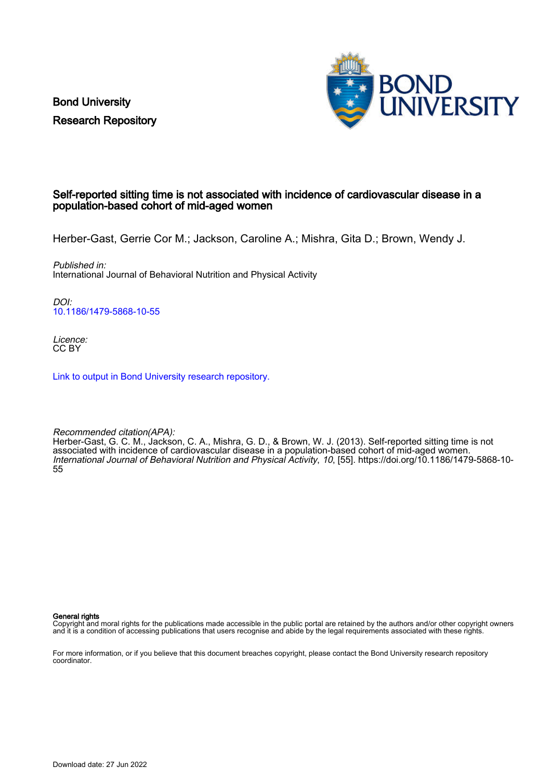Bond University Research Repository



# Self-reported sitting time is not associated with incidence of cardiovascular disease in a population-based cohort of mid-aged women

Herber-Gast, Gerrie Cor M.; Jackson, Caroline A.; Mishra, Gita D.; Brown, Wendy J.

Published in: International Journal of Behavioral Nutrition and Physical Activity

DOI: [10.1186/1479-5868-10-55](https://doi.org/10.1186/1479-5868-10-55)

Licence: CC BY

[Link to output in Bond University research repository.](https://research.bond.edu.au/en/publications/642ffcfe-4474-4576-949e-f3b6a88d50c4)

Recommended citation(APA):

Herber-Gast, G. C. M., Jackson, C. A., Mishra, G. D., & Brown, W. J. (2013). Self-reported sitting time is not associated with incidence of cardiovascular disease in a population-based cohort of mid-aged women. International Journal of Behavioral Nutrition and Physical Activity, 10, [55]. [https://doi.org/10.1186/1479-5868-10-](https://doi.org/10.1186/1479-5868-10-55) [55](https://doi.org/10.1186/1479-5868-10-55)

General rights

Copyright and moral rights for the publications made accessible in the public portal are retained by the authors and/or other copyright owners and it is a condition of accessing publications that users recognise and abide by the legal requirements associated with these rights.

For more information, or if you believe that this document breaches copyright, please contact the Bond University research repository coordinator.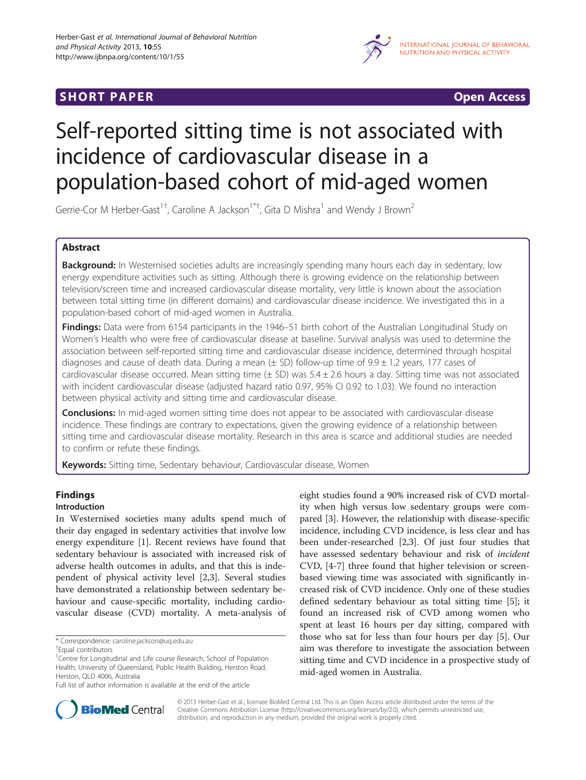# **SHORT PAPER SHORT PAPER CONSTRUCTER CONSTRUCTER CONSTRUCTER CONSTRUCTER**



# Self-reported sitting time is not associated with incidence of cardiovascular disease in a population-based cohort of mid-aged women

Gerrie-Cor M Herber-Gast<sup>1†</sup>, Caroline A Jackson<sup>1\*†</sup>, Gita D Mishra<sup>1</sup> and Wendy J Brown<sup>2</sup>

# Abstract

Background: In Westernised societies adults are increasingly spending many hours each day in sedentary, low energy expenditure activities such as sitting. Although there is growing evidence on the relationship between television/screen time and increased cardiovascular disease mortality, very little is known about the association between total sitting time (in different domains) and cardiovascular disease incidence. We investigated this in a population-based cohort of mid-aged women in Australia.

Findings: Data were from 6154 participants in the 1946–51 birth cohort of the Australian Longitudinal Study on Women's Health who were free of cardiovascular disease at baseline. Survival analysis was used to determine the association between self-reported sitting time and cardiovascular disease incidence, determined through hospital diagnoses and cause of death data. During a mean  $(\pm$  SD) follow-up time of  $9.9 \pm 1.2$  years, 177 cases of cardiovascular disease occurred. Mean sitting time  $(\pm$  SD) was 5.4  $\pm$  2.6 hours a day. Sitting time was not associated with incident cardiovascular disease (adjusted hazard ratio 0.97, 95% CI 0.92 to 1.03). We found no interaction between physical activity and sitting time and cardiovascular disease.

**Conclusions:** In mid-aged women sitting time does not appear to be associated with cardiovascular disease incidence. These findings are contrary to expectations, given the growing evidence of a relationship between sitting time and cardiovascular disease mortality. Research in this area is scarce and additional studies are needed to confirm or refute these findings.

Keywords: Sitting time, Sedentary behaviour, Cardiovascular disease, Women

# Findings

## Introduction

In Westernised societies many adults spend much of their day engaged in sedentary activities that involve low energy expenditure [\[1](#page-4-0)]. Recent reviews have found that sedentary behaviour is associated with increased risk of adverse health outcomes in adults, and that this is independent of physical activity level [\[2,3](#page-4-0)]. Several studies have demonstrated a relationship between sedentary behaviour and cause-specific mortality, including cardiovascular disease (CVD) mortality. A meta-analysis of eight studies found a 90% increased risk of CVD mortality when high versus low sedentary groups were compared [[3\]](#page-4-0). However, the relationship with disease-specific incidence, including CVD incidence, is less clear and has been under-researched [[2,3\]](#page-4-0). Of just four studies that have assessed sedentary behaviour and risk of incident CVD, [\[4](#page-4-0)-[7\]](#page-5-0) three found that higher television or screenbased viewing time was associated with significantly increased risk of CVD incidence. Only one of these studies defined sedentary behaviour as total sitting time [\[5](#page-5-0)]; it found an increased risk of CVD among women who spent at least 16 hours per day sitting, compared with those who sat for less than four hours per day [[5\]](#page-5-0). Our aim was therefore to investigate the association between sitting time and CVD incidence in a prospective study of mid-aged women in Australia.



© 2013 Herber-Gast et al.; licensee BioMed Central Ltd. This is an Open Access article distributed under the terms of the Creative Commons Attribution License (<http://creativecommons.org/licenses/by/2.0>), which permits unrestricted use, distribution, and reproduction in any medium, provided the original work is properly cited.

<sup>\*</sup> Correspondence: [caroline.jackson@uq.edu.au](mailto:caroline.jackson@uq.edu.au) †

Equal contributors

<sup>&</sup>lt;sup>1</sup> Centre for Longitudinal and Life course Research, School of Population Health, University of Queensland, Public Health Building, Herston Road, Herston, QLD 4006, Australia

Full list of author information is available at the end of the article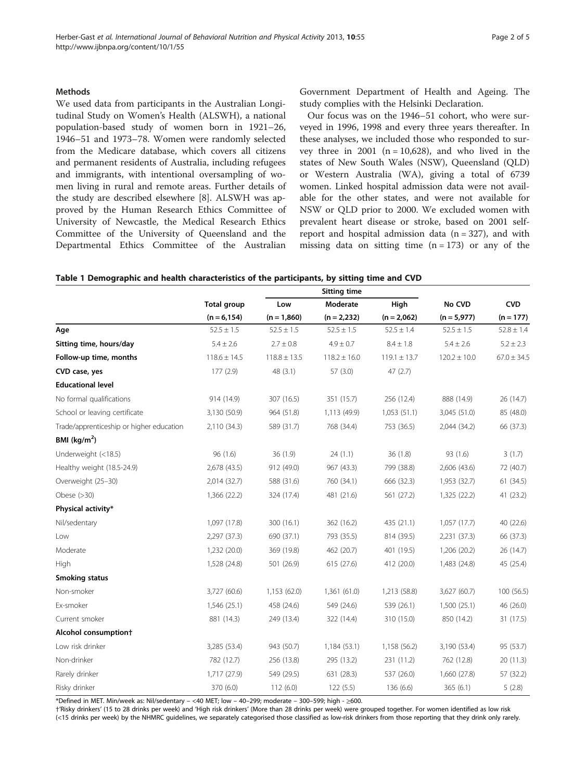## <span id="page-2-0"></span>**Methods**

We used data from participants in the Australian Longitudinal Study on Women's Health (ALSWH), a national population-based study of women born in 1921–26, 1946–51 and 1973–78. Women were randomly selected from the Medicare database, which covers all citizens and permanent residents of Australia, including refugees and immigrants, with intentional oversampling of women living in rural and remote areas. Further details of the study are described elsewhere [\[8](#page-5-0)]. ALSWH was approved by the Human Research Ethics Committee of University of Newcastle, the Medical Research Ethics Committee of the University of Queensland and the Departmental Ethics Committee of the Australian

Government Department of Health and Ageing. The study complies with the Helsinki Declaration.

Our focus was on the 1946–51 cohort, who were surveyed in 1996, 1998 and every three years thereafter. In these analyses, we included those who responded to survey three in  $2001$  (n = 10,628), and who lived in the states of New South Wales (NSW), Queensland (QLD) or Western Australia (WA), giving a total of 6739 women. Linked hospital admission data were not available for the other states, and were not available for NSW or QLD prior to 2000. We excluded women with prevalent heart disease or stroke, based on 2001 selfreport and hospital admission data  $(n = 327)$ , and with missing data on sitting time  $(n = 173)$  or any of the

| Table 1 Demographic and health characteristics of the participants, by sitting time and CVD |  |  |  |  |
|---------------------------------------------------------------------------------------------|--|--|--|--|
|---------------------------------------------------------------------------------------------|--|--|--|--|

|                                          |                                      | <b>Sitting time</b>  |                            |                       |                         |                           |
|------------------------------------------|--------------------------------------|----------------------|----------------------------|-----------------------|-------------------------|---------------------------|
|                                          | <b>Total group</b><br>$(n = 6, 154)$ | Low<br>$(n = 1,860)$ | Moderate<br>$(n = 2, 232)$ | High<br>$(n = 2,062)$ | No CVD<br>$(n = 5,977)$ | <b>CVD</b><br>$(n = 177)$ |
|                                          |                                      |                      |                            |                       |                         |                           |
| Age                                      | $52.5 \pm 1.5$                       | $52.5 \pm 1.5$       | $52.5 \pm 1.5$             | $52.5 \pm 1.4$        | $52.5 \pm 1.5$          | $52.8 \pm 1.4$            |
| Sitting time, hours/day                  | $5.4 \pm 2.6$                        | $2.7 \pm 0.8$        | $4.9 \pm 0.7$              | $8.4 \pm 1.8$         | $5.4 \pm 2.6$           | $5.2\pm2.3$               |
| Follow-up time, months                   | $118.6 \pm 14.5$                     | $118.8 \pm 13.5$     | $118.2 \pm 16.0$           | $119.1 \pm 13.7$      | $120.2 \pm 10.0$        | $67.0 \pm 34.5$           |
| CVD case, yes                            | 177(2.9)                             | 48 (3.1)             | 57 (3.0)                   | 47 (2.7)              |                         |                           |
| <b>Educational level</b>                 |                                      |                      |                            |                       |                         |                           |
| No formal qualifications                 | 914 (14.9)                           | 307 (16.5)           | 351 (15.7)                 | 256 (12.4)            | 888 (14.9)              | 26 (14.7)                 |
| School or leaving certificate            | 3,130 (50.9)                         | 964 (51.8)           | 1,113 (49.9)               | 1,053(51.1)           | 3,045 (51.0)            | 85 (48.0)                 |
| Trade/apprenticeship or higher education | 2,110 (34.3)                         | 589 (31.7)           | 768 (34.4)                 | 753 (36.5)            | 2,044 (34.2)            | 66 (37.3)                 |
| BMI $(kg/m2)$                            |                                      |                      |                            |                       |                         |                           |
| Underweight (<18.5)                      | 96(1.6)                              | 36(1.9)              | 24(1.1)                    | 36(1.8)               | 93 (1.6)                | 3(1.7)                    |
| Healthy weight (18.5-24.9)               | 2,678 (43.5)                         | 912 (49.0)           | 967 (43.3)                 | 799 (38.8)            | 2,606 (43.6)            | 72 (40.7)                 |
| Overweight (25-30)                       | 2,014 (32.7)                         | 588 (31.6)           | 760 (34.1)                 | 666 (32.3)            | 1,953 (32.7)            | 61(34.5)                  |
| Obese $(>30)$                            | 1,366 (22.2)                         | 324 (17.4)           | 481 (21.6)                 | 561 (27.2)            | 1,325 (22.2)            | 41 (23.2)                 |
| Physical activity*                       |                                      |                      |                            |                       |                         |                           |
| Nil/sedentary                            | 1,097 (17.8)                         | 300 (16.1)           | 362 (16.2)                 | 435 (21.1)            | 1,057 (17.7)            | 40 (22.6)                 |
| Low                                      | 2,297 (37.3)                         | 690 (37.1)           | 793 (35.5)                 | 814 (39.5)            | 2,231 (37.3)            | 66 (37.3)                 |
| Moderate                                 | 1,232 (20.0)                         | 369 (19.8)           | 462 (20.7)                 | 401 (19.5)            | 1,206 (20.2)            | 26 (14.7)                 |
| High                                     | 1,528 (24.8)                         | 501 (26.9)           | 615 (27.6)                 | 412 (20.0)            | 1,483 (24.8)            | 45 (25.4)                 |
| Smoking status                           |                                      |                      |                            |                       |                         |                           |
| Non-smoker                               | 3,727 (60.6)                         | 1,153 (62.0)         | 1,361 (61.0)               | 1,213 (58.8)          | 3,627 (60.7)            | 100 (56.5)                |
| Ex-smoker                                | 1,546 (25.1)                         | 458 (24.6)           | 549 (24.6)                 | 539 (26.1)            | 1,500(25.1)             | 46 (26.0)                 |
| Current smoker                           | 881 (14.3)                           | 249 (13.4)           | 322 (14.4)                 | 310 (15.0)            | 850 (14.2)              | 31 (17.5)                 |
| Alcohol consumptiont                     |                                      |                      |                            |                       |                         |                           |
| Low risk drinker                         | 3,285 (53.4)                         | 943 (50.7)           | 1,184(53.1)                | 1,158 (56.2)          | 3,190 (53.4)            | 95 (53.7)                 |
| Non-drinker                              | 782 (12.7)                           | 256 (13.8)           | 295 (13.2)                 | 231 (11.2)            | 762 (12.8)              | 20 (11.3)                 |
| Rarely drinker                           | 1,717 (27.9)                         | 549 (29.5)           | 631 (28.3)                 | 537 (26.0)            | 1,660 (27.8)            | 57 (32.2)                 |
| Risky drinker                            | 370 (6.0)                            | 112 (6.0)            | 122 (5.5)                  | 136 (6.6)             | 365 (6.1)               | 5(2.8)                    |

\*Defined in MET. Min/week as: Nil/sedentary – <40 MET; low – 40–299; moderate – 300–599; high - ≥600.

†'Risky drinkers' (15 to 28 drinks per week) and 'High risk drinkers' (More than 28 drinks per week) were grouped together. For women identified as low risk (<15 drinks per week) by the NHMRC guidelines, we separately categorised those classified as low-risk drinkers from those reporting that they drink only rarely.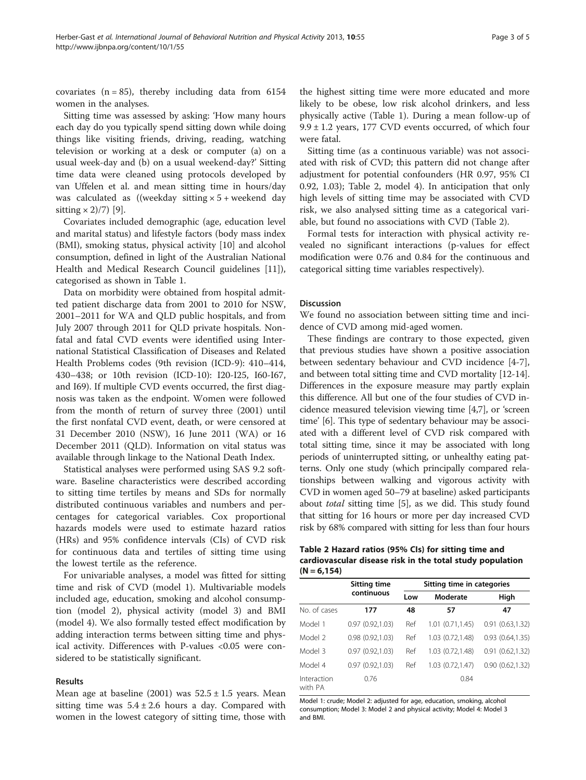covariates  $(n = 85)$ , thereby including data from 6154 women in the analyses.

Sitting time was assessed by asking: 'How many hours each day do you typically spend sitting down while doing things like visiting friends, driving, reading, watching television or working at a desk or computer (a) on a usual week-day and (b) on a usual weekend-day?' Sitting time data were cleaned using protocols developed by van Uffelen et al. and mean sitting time in hours/day was calculated as ((weekday sitting  $\times$  5 + weekend day sitting  $\times$  2)/7) [[9](#page-5-0)].

Covariates included demographic (age, education level and marital status) and lifestyle factors (body mass index (BMI), smoking status, physical activity [\[10\]](#page-5-0) and alcohol consumption, defined in light of the Australian National Health and Medical Research Council guidelines [\[11](#page-5-0)]), categorised as shown in Table [1.](#page-2-0)

Data on morbidity were obtained from hospital admitted patient discharge data from 2001 to 2010 for NSW, 2001–2011 for WA and QLD public hospitals, and from July 2007 through 2011 for QLD private hospitals. Nonfatal and fatal CVD events were identified using International Statistical Classification of Diseases and Related Health Problems codes (9th revision (ICD-9): 410–414, 430–438; or 10th revision (ICD-10): I20-I25, I60-I67, and I69). If multiple CVD events occurred, the first diagnosis was taken as the endpoint. Women were followed from the month of return of survey three (2001) until the first nonfatal CVD event, death, or were censored at 31 December 2010 (NSW), 16 June 2011 (WA) or 16 December 2011 (QLD). Information on vital status was available through linkage to the National Death Index.

Statistical analyses were performed using SAS 9.2 software. Baseline characteristics were described according to sitting time tertiles by means and SDs for normally distributed continuous variables and numbers and percentages for categorical variables. Cox proportional hazards models were used to estimate hazard ratios (HRs) and 95% confidence intervals (CIs) of CVD risk for continuous data and tertiles of sitting time using the lowest tertile as the reference.

For univariable analyses, a model was fitted for sitting time and risk of CVD (model 1). Multivariable models included age, education, smoking and alcohol consumption (model 2), physical activity (model 3) and BMI (model 4). We also formally tested effect modification by adding interaction terms between sitting time and physical activity. Differences with P-values <0.05 were considered to be statistically significant.

### Results

Mean age at baseline (2001) was  $52.5 \pm 1.5$  years. Mean sitting time was  $5.4 \pm 2.6$  hours a day. Compared with women in the lowest category of sitting time, those with

the highest sitting time were more educated and more likely to be obese, low risk alcohol drinkers, and less physically active (Table [1](#page-2-0)). During a mean follow-up of  $9.9 \pm 1.2$  years, 177 CVD events occurred, of which four were fatal.

Sitting time (as a continuous variable) was not associated with risk of CVD; this pattern did not change after adjustment for potential confounders (HR 0.97, 95% CI 0.92, 1.03); Table 2, model 4). In anticipation that only high levels of sitting time may be associated with CVD risk, we also analysed sitting time as a categorical variable, but found no associations with CVD (Table 2).

Formal tests for interaction with physical activity revealed no significant interactions (p-values for effect modification were 0.76 and 0.84 for the continuous and categorical sitting time variables respectively).

## Discussion

We found no association between sitting time and incidence of CVD among mid-aged women.

These findings are contrary to those expected, given that previous studies have shown a positive association between sedentary behaviour and CVD incidence [[4](#page-4-0)[-7](#page-5-0)], and between total sitting time and CVD mortality [[12](#page-5-0)-[14](#page-5-0)]. Differences in the exposure measure may partly explain this difference. All but one of the four studies of CVD incidence measured television viewing time [\[4](#page-4-0)[,7\]](#page-5-0), or 'screen time' [[6\]](#page-5-0). This type of sedentary behaviour may be associated with a different level of CVD risk compared with total sitting time, since it may be associated with long periods of uninterrupted sitting, or unhealthy eating patterns. Only one study (which principally compared relationships between walking and vigorous activity with CVD in women aged 50–79 at baseline) asked participants about *total* sitting time [[5\]](#page-5-0), as we did. This study found that sitting for 16 hours or more per day increased CVD risk by 68% compared with sitting for less than four hours

Table 2 Hazard ratios (95% CIs) for sitting time and cardiovascular disease risk in the total study population  $(N = 6, 154)$ 

|                        | <b>Sitting time</b> | Sitting time in categories |                  |                  |  |
|------------------------|---------------------|----------------------------|------------------|------------------|--|
|                        | continuous          | Moderate<br>Low            |                  | High             |  |
| No. of cases           | 177                 | 48                         | 57               | 47               |  |
| Model 1                | 0.97(0.92,1.03)     | Ref                        | 1.01(0.71.1.45)  | 0.91(0.63, 1.32) |  |
| Model 2                | 0.98(0.92,1.03)     | Ref                        | 1.03 (0.72,1.48) | 0.93(0.64, 1.35) |  |
| Model 3                | 0.97(0.92,1.03)     | Ref                        | 1.03 (0.72,1.48) | 0.91(0.62, 1.32) |  |
| Model 4                | 0.97(0.92,1.03)     | Ref                        | 1.03 (0.72,1.47) | 0.90(0.62, 1.32) |  |
| Interaction<br>with PA | 0.76                |                            | 0.84             |                  |  |

Model 1: crude; Model 2: adjusted for age, education, smoking, alcohol consumption; Model 3: Model 2 and physical activity; Model 4: Model 3 and BMI.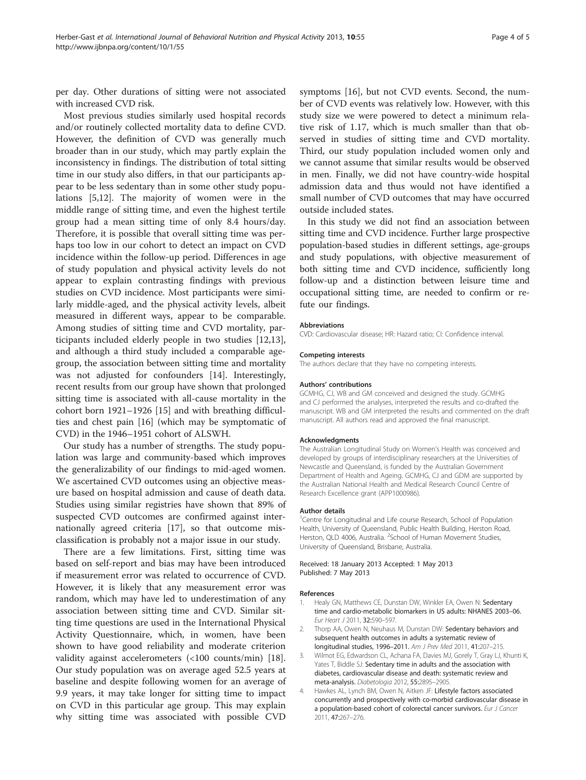<span id="page-4-0"></span>per day. Other durations of sitting were not associated with increased CVD risk.

Most previous studies similarly used hospital records and/or routinely collected mortality data to define CVD. However, the definition of CVD was generally much broader than in our study, which may partly explain the inconsistency in findings. The distribution of total sitting time in our study also differs, in that our participants appear to be less sedentary than in some other study populations [[5](#page-5-0),[12](#page-5-0)]. The majority of women were in the middle range of sitting time, and even the highest tertile group had a mean sitting time of only 8.4 hours/day. Therefore, it is possible that overall sitting time was perhaps too low in our cohort to detect an impact on CVD incidence within the follow-up period. Differences in age of study population and physical activity levels do not appear to explain contrasting findings with previous studies on CVD incidence. Most participants were similarly middle-aged, and the physical activity levels, albeit measured in different ways, appear to be comparable. Among studies of sitting time and CVD mortality, participants included elderly people in two studies [\[12,13](#page-5-0)], and although a third study included a comparable agegroup, the association between sitting time and mortality was not adjusted for confounders [\[14\]](#page-5-0). Interestingly, recent results from our group have shown that prolonged sitting time is associated with all-cause mortality in the cohort born 1921–1926 [[15\]](#page-5-0) and with breathing difficulties and chest pain [\[16\]](#page-5-0) (which may be symptomatic of CVD) in the 1946–1951 cohort of ALSWH.

Our study has a number of strengths. The study population was large and community-based which improves the generalizability of our findings to mid-aged women. We ascertained CVD outcomes using an objective measure based on hospital admission and cause of death data. Studies using similar registries have shown that 89% of suspected CVD outcomes are confirmed against internationally agreed criteria [\[17\]](#page-5-0), so that outcome misclassification is probably not a major issue in our study.

There are a few limitations. First, sitting time was based on self-report and bias may have been introduced if measurement error was related to occurrence of CVD. However, it is likely that any measurement error was random, which may have led to underestimation of any association between sitting time and CVD. Similar sitting time questions are used in the International Physical Activity Questionnaire, which, in women, have been shown to have good reliability and moderate criterion validity against accelerometers (<100 counts/min) [\[18](#page-5-0)]. Our study population was on average aged 52.5 years at baseline and despite following women for an average of 9.9 years, it may take longer for sitting time to impact on CVD in this particular age group. This may explain why sitting time was associated with possible CVD symptoms [[16](#page-5-0)], but not CVD events. Second, the number of CVD events was relatively low. However, with this study size we were powered to detect a minimum relative risk of 1.17, which is much smaller than that observed in studies of sitting time and CVD mortality. Third, our study population included women only and we cannot assume that similar results would be observed in men. Finally, we did not have country-wide hospital admission data and thus would not have identified a small number of CVD outcomes that may have occurred outside included states.

In this study we did not find an association between sitting time and CVD incidence. Further large prospective population-based studies in different settings, age-groups and study populations, with objective measurement of both sitting time and CVD incidence, sufficiently long follow-up and a distinction between leisure time and occupational sitting time, are needed to confirm or refute our findings.

#### Abbreviations

CVD: Cardiovascular disease; HR: Hazard ratio; CI: Confidence interval.

# Competing interests

The authors declare that they have no competing interests.

#### Authors' contributions

GCMHG, CJ, WB and GM conceived and designed the study. GCMHG and CJ performed the analyses, interpreted the results and co-drafted the manuscript. WB and GM interpreted the results and commented on the draft manuscript. All authors read and approved the final manuscript.

#### Acknowledgments

The Australian Longitudinal Study on Women's Health was conceived and developed by groups of interdisciplinary researchers at the Universities of Newcastle and Queensland, is funded by the Australian Government Department of Health and Ageing. GCMHG, CJ and GDM are supported by the Australian National Health and Medical Research Council Centre of Research Excellence grant (APP1000986).

#### Author details

<sup>1</sup> Centre for Longitudinal and Life course Research, School of Population Health, University of Queensland, Public Health Building, Herston Road, Herston, QLD 4006, Australia. <sup>2</sup>School of Human Movement Studies University of Queensland, Brisbane, Australia.

#### Received: 18 January 2013 Accepted: 1 May 2013 Published: 7 May 2013

#### References

- 1. Healy GN, Matthews CE, Dunstan DW, Winkler EA, Owen N: Sedentary time and cardio-metabolic biomarkers in US adults: NHANES 2003–06. Eur Heart J 2011, 32:590–597.
- 2. Thorp AA, Owen N, Neuhaus M, Dunstan DW: Sedentary behaviors and subsequent health outcomes in adults a systematic review of longitudinal studies, 1996–2011. Am J Prev Med 2011, 41:207–215.
- 3. Wilmot EG, Edwardson CL, Achana FA, Davies MJ, Gorely T, Gray LJ, Khunti K, Yates T, Biddle SJ: Sedentary time in adults and the association with diabetes, cardiovascular disease and death: systematic review and meta-analysis. Diabetologia 2012, 55:2895–2905.
- 4. Hawkes AL, Lynch BM, Owen N, Aitken JF: Lifestyle factors associated concurrently and prospectively with co-morbid cardiovascular disease in a population-based cohort of colorectal cancer survivors. Eur J Cancer 2011, 47:267–276.